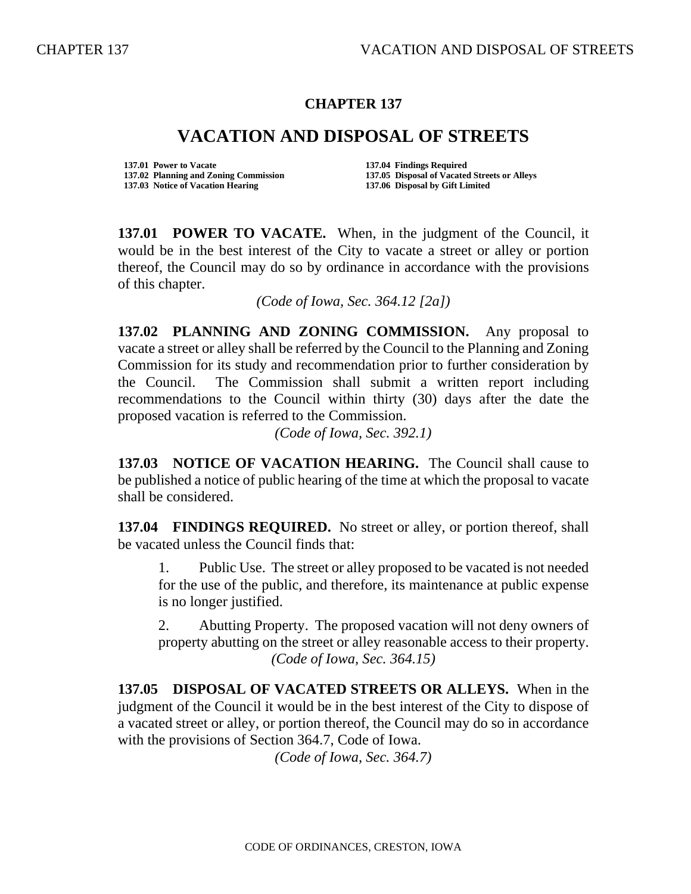## **CHAPTER 137**

## **VACATION AND DISPOSAL OF STREETS**

**137.01 Power to Vacate 137.04 Findings Required** 

**137.02 Planning and Zoning Commission 137.05 Disposal of Vacated Streets or Alleys 137.06 Disposal by Gift Limited** 

**137.01 POWER TO VACATE.** When, in the judgment of the Council, it would be in the best interest of the City to vacate a street or alley or portion thereof, the Council may do so by ordinance in accordance with the provisions of this chapter.

*(Code of Iowa, Sec. 364.12 [2a])*

**137.02 PLANNING AND ZONING COMMISSION.** Any proposal to vacate a street or alley shall be referred by the Council to the Planning and Zoning Commission for its study and recommendation prior to further consideration by the Council. The Commission shall submit a written report including recommendations to the Council within thirty (30) days after the date the proposed vacation is referred to the Commission.

*(Code of Iowa, Sec. 392.1)*

**137.03 NOTICE OF VACATION HEARING.** The Council shall cause to be published a notice of public hearing of the time at which the proposal to vacate shall be considered.

**137.04 FINDINGS REQUIRED.** No street or alley, or portion thereof, shall be vacated unless the Council finds that:

1. Public Use. The street or alley proposed to be vacated is not needed for the use of the public, and therefore, its maintenance at public expense is no longer justified.

2. Abutting Property. The proposed vacation will not deny owners of property abutting on the street or alley reasonable access to their property. *(Code of Iowa, Sec. 364.15)*

**137.05 DISPOSAL OF VACATED STREETS OR ALLEYS.** When in the judgment of the Council it would be in the best interest of the City to dispose of a vacated street or alley, or portion thereof, the Council may do so in accordance with the provisions of Section 364.7, Code of Iowa.

*(Code of Iowa, Sec. 364.7)*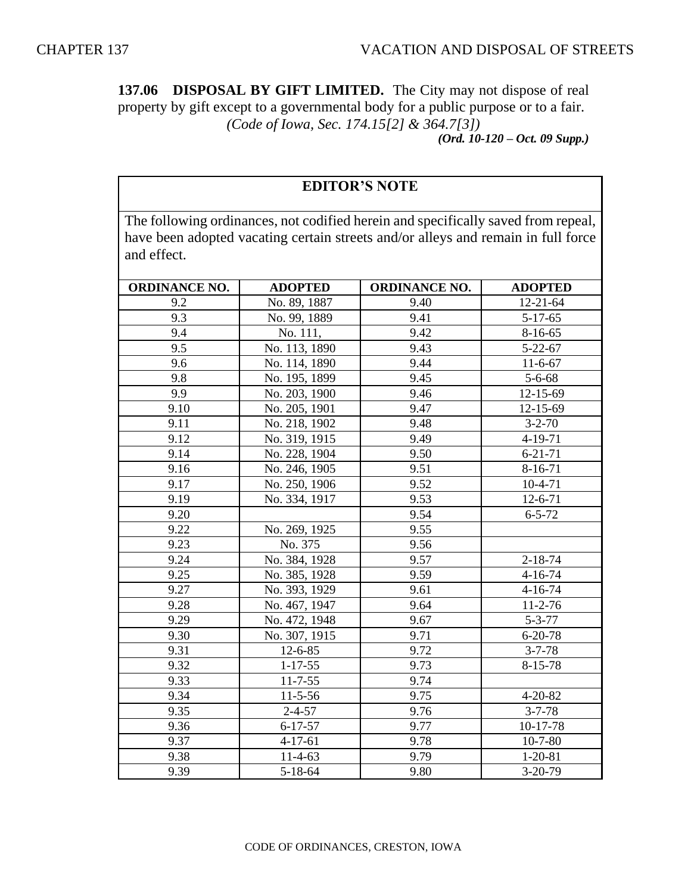**137.06 DISPOSAL BY GIFT LIMITED.** The City may not dispose of real property by gift except to a governmental body for a public purpose or to a fair. *(Code of Iowa, Sec. 174.15[2] & 364.7[3]) (Ord. 10-120 – Oct. 09 Supp.)*

## **EDITOR'S NOTE**

The following ordinances, not codified herein and specifically saved from repeal, have been adopted vacating certain streets and/or alleys and remain in full force and effect.

| <b>ORDINANCE NO.</b> | <b>ADOPTED</b> | <b>ORDINANCE NO.</b> | <b>ADOPTED</b> |
|----------------------|----------------|----------------------|----------------|
| 9.2                  | No. 89, 1887   | 9.40                 | $12 - 21 - 64$ |
| 9.3                  | No. 99, 1889   | 9.41                 | $5-17-65$      |
| 9.4                  | No. 111,       | 9.42                 | $8-16-65$      |
| 9.5                  | No. 113, 1890  | 9.43                 | $5 - 22 - 67$  |
| 9.6                  | No. 114, 1890  | 9.44                 | $11-6-67$      |
| 9.8                  | No. 195, 1899  | 9.45                 | $5 - 6 - 68$   |
| 9.9                  | No. 203, 1900  | 9.46                 | 12-15-69       |
| 9.10                 | No. 205, 1901  | 9.47                 | 12-15-69       |
| 9.11                 | No. 218, 1902  | 9.48                 | $3 - 2 - 70$   |
| 9.12                 | No. 319, 1915  | 9.49                 | 4-19-71        |
| 9.14                 | No. 228, 1904  | 9.50                 | $6 - 21 - 71$  |
| 9.16                 | No. 246, 1905  | 9.51                 | $8 - 16 - 71$  |
| 9.17                 | No. 250, 1906  | 9.52                 | $10-4-71$      |
| 9.19                 | No. 334, 1917  | 9.53                 | $12 - 6 - 71$  |
| 9.20                 |                | 9.54                 | $6 - 5 - 72$   |
| 9.22                 | No. 269, 1925  | 9.55                 |                |
| 9.23                 | No. 375        | 9.56                 |                |
| 9.24                 | No. 384, 1928  | 9.57                 | $2 - 18 - 74$  |
| 9.25                 | No. 385, 1928  | 9.59                 | $4 - 16 - 74$  |
| 9.27                 | No. 393, 1929  | 9.61                 | $4 - 16 - 74$  |
| 9.28                 | No. 467, 1947  | 9.64                 | $11 - 2 - 76$  |
| 9.29                 | No. 472, 1948  | 9.67                 | $5 - 3 - 77$   |
| 9.30                 | No. 307, 1915  | 9.71                 | $6 - 20 - 78$  |
| 9.31                 | $12 - 6 - 85$  | 9.72                 | $3 - 7 - 78$   |
| 9.32                 | $1 - 17 - 55$  | 9.73                 | $8 - 15 - 78$  |
| 9.33                 | $11 - 7 - 55$  | 9.74                 |                |
| 9.34                 | $11 - 5 - 56$  | 9.75                 | $4 - 20 - 82$  |
| 9.35                 | $2 - 4 - 57$   | 9.76                 | $3 - 7 - 78$   |
| 9.36                 | $6 - 17 - 57$  | 9.77                 | 10-17-78       |
| 9.37                 | $4 - 17 - 61$  | 9.78                 | $10 - 7 - 80$  |
| 9.38                 | $11-4-63$      | 9.79                 | $1 - 20 - 81$  |
| 9.39                 | 5-18-64        | 9.80                 | $3-20-79$      |